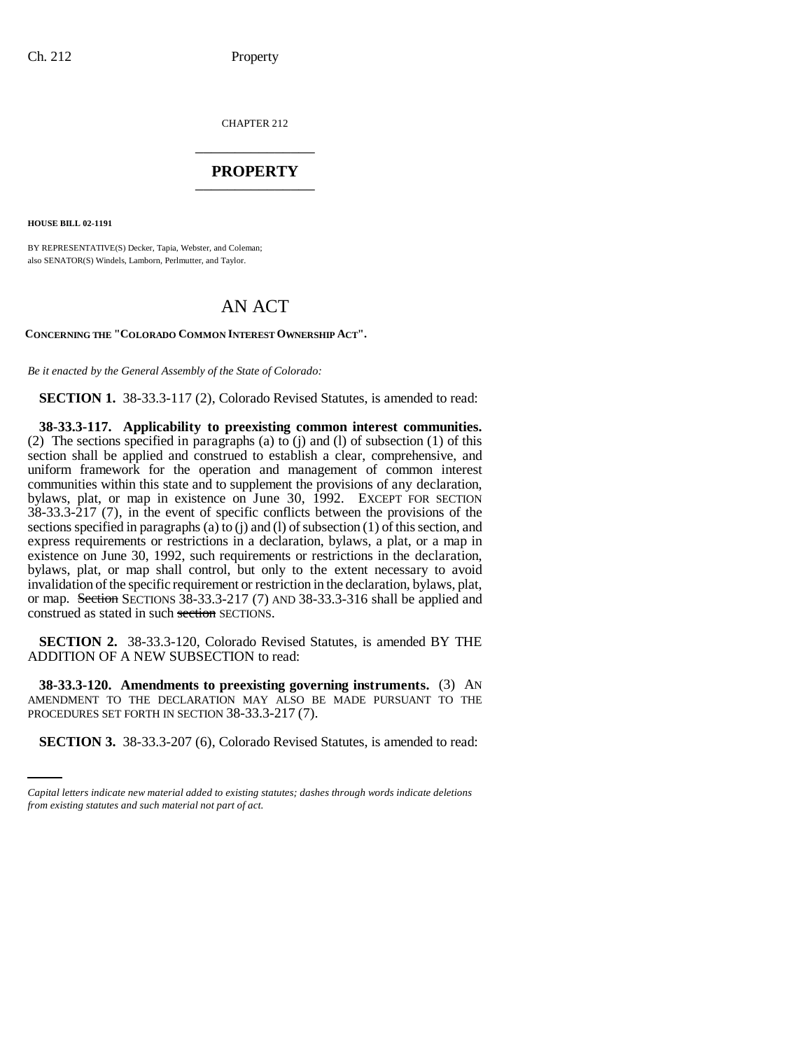CHAPTER 212 \_\_\_\_\_\_\_\_\_\_\_\_\_\_\_

## **PROPERTY** \_\_\_\_\_\_\_\_\_\_\_\_\_\_\_

**HOUSE BILL 02-1191**

BY REPRESENTATIVE(S) Decker, Tapia, Webster, and Coleman; also SENATOR(S) Windels, Lamborn, Perlmutter, and Taylor.

## AN ACT

**CONCERNING THE "COLORADO COMMON INTEREST OWNERSHIP ACT".**

*Be it enacted by the General Assembly of the State of Colorado:*

**SECTION 1.** 38-33.3-117 (2), Colorado Revised Statutes, is amended to read:

**38-33.3-117. Applicability to preexisting common interest communities.** (2) The sections specified in paragraphs (a) to (j) and (l) of subsection (1) of this section shall be applied and construed to establish a clear, comprehensive, and uniform framework for the operation and management of common interest communities within this state and to supplement the provisions of any declaration, bylaws, plat, or map in existence on June 30, 1992. EXCEPT FOR SECTION 38-33.3-217 (7), in the event of specific conflicts between the provisions of the sections specified in paragraphs (a) to (j) and (l) of subsection (1) of this section, and express requirements or restrictions in a declaration, bylaws, a plat, or a map in existence on June 30, 1992, such requirements or restrictions in the declaration, bylaws, plat, or map shall control, but only to the extent necessary to avoid invalidation of the specific requirement or restriction in the declaration, bylaws, plat, or map. Section SECTIONS 38-33.3-217 (7) AND 38-33.3-316 shall be applied and construed as stated in such section SECTIONS.

**SECTION 2.** 38-33.3-120, Colorado Revised Statutes, is amended BY THE ADDITION OF A NEW SUBSECTION to read:

PROCEDURES SET FORTH IN SECTION 38-33.3-217 (7). **38-33.3-120. Amendments to preexisting governing instruments.** (3) AN AMENDMENT TO THE DECLARATION MAY ALSO BE MADE PURSUANT TO THE

**SECTION 3.** 38-33.3-207 (6), Colorado Revised Statutes, is amended to read:

*Capital letters indicate new material added to existing statutes; dashes through words indicate deletions from existing statutes and such material not part of act.*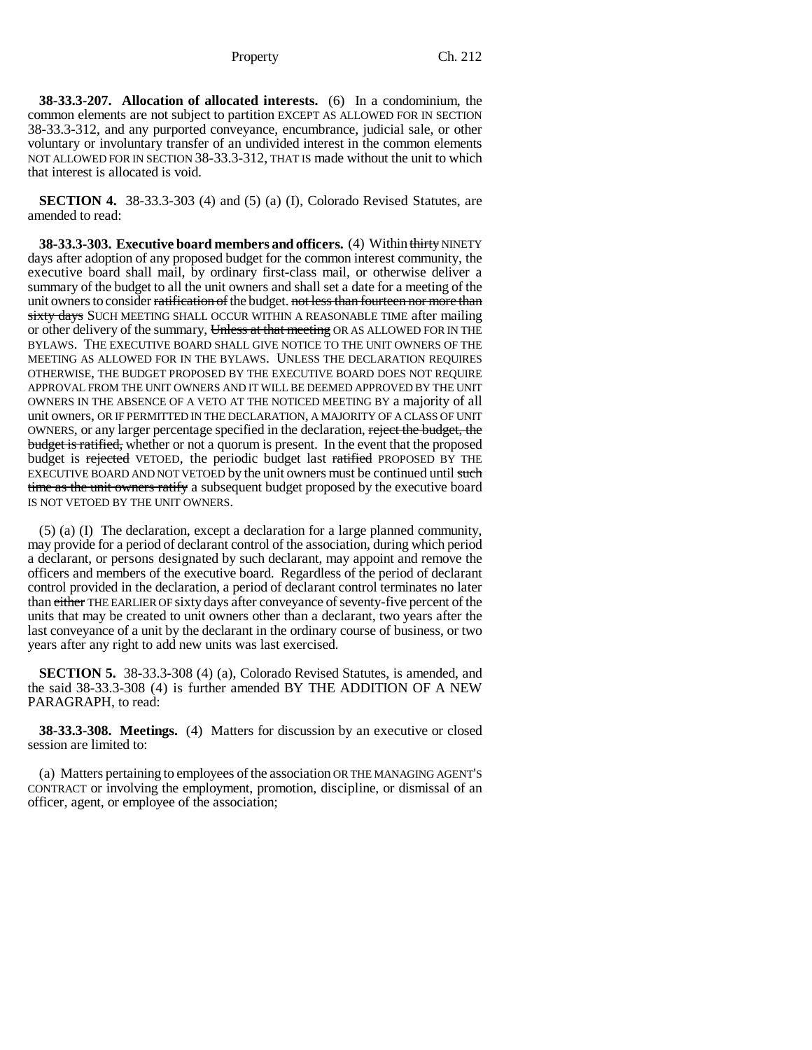**38-33.3-207. Allocation of allocated interests.** (6) In a condominium, the common elements are not subject to partition EXCEPT AS ALLOWED FOR IN SECTION 38-33.3-312, and any purported conveyance, encumbrance, judicial sale, or other voluntary or involuntary transfer of an undivided interest in the common elements NOT ALLOWED FOR IN SECTION 38-33.3-312, THAT IS made without the unit to which that interest is allocated is void.

**SECTION 4.** 38-33.3-303 (4) and (5) (a) (I), Colorado Revised Statutes, are amended to read:

**38-33.3-303. Executive board members and officers.** (4) Within thirty NINETY days after adoption of any proposed budget for the common interest community, the executive board shall mail, by ordinary first-class mail, or otherwise deliver a summary of the budget to all the unit owners and shall set a date for a meeting of the unit owners to consider ratification of the budget. not less than fourteen nor more than sixty days SUCH MEETING SHALL OCCUR WITHIN A REASONABLE TIME after mailing or other delivery of the summary, Unless at that meeting OR AS ALLOWED FOR IN THE BYLAWS. THE EXECUTIVE BOARD SHALL GIVE NOTICE TO THE UNIT OWNERS OF THE MEETING AS ALLOWED FOR IN THE BYLAWS. UNLESS THE DECLARATION REQUIRES OTHERWISE, THE BUDGET PROPOSED BY THE EXECUTIVE BOARD DOES NOT REQUIRE APPROVAL FROM THE UNIT OWNERS AND IT WILL BE DEEMED APPROVED BY THE UNIT OWNERS IN THE ABSENCE OF A VETO AT THE NOTICED MEETING BY a majority of all unit owners, OR IF PERMITTED IN THE DECLARATION, A MAJORITY OF A CLASS OF UNIT OWNERS, or any larger percentage specified in the declaration, reject the budget, the budget is ratified, whether or not a quorum is present. In the event that the proposed budget is rejected VETOED, the periodic budget last ratified PROPOSED BY THE EXECUTIVE BOARD AND NOT VETOED by the unit owners must be continued until such time as the unit owners ratify a subsequent budget proposed by the executive board IS NOT VETOED BY THE UNIT OWNERS.

(5) (a) (I) The declaration, except a declaration for a large planned community, may provide for a period of declarant control of the association, during which period a declarant, or persons designated by such declarant, may appoint and remove the officers and members of the executive board. Regardless of the period of declarant control provided in the declaration, a period of declarant control terminates no later than either THE EARLIER OF sixty days after conveyance of seventy-five percent of the units that may be created to unit owners other than a declarant, two years after the last conveyance of a unit by the declarant in the ordinary course of business, or two years after any right to add new units was last exercised.

**SECTION 5.** 38-33.3-308 (4) (a), Colorado Revised Statutes, is amended, and the said 38-33.3-308 (4) is further amended BY THE ADDITION OF A NEW PARAGRAPH, to read:

**38-33.3-308. Meetings.** (4) Matters for discussion by an executive or closed session are limited to:

(a) Matters pertaining to employees of the association OR THE MANAGING AGENT'S CONTRACT or involving the employment, promotion, discipline, or dismissal of an officer, agent, or employee of the association;